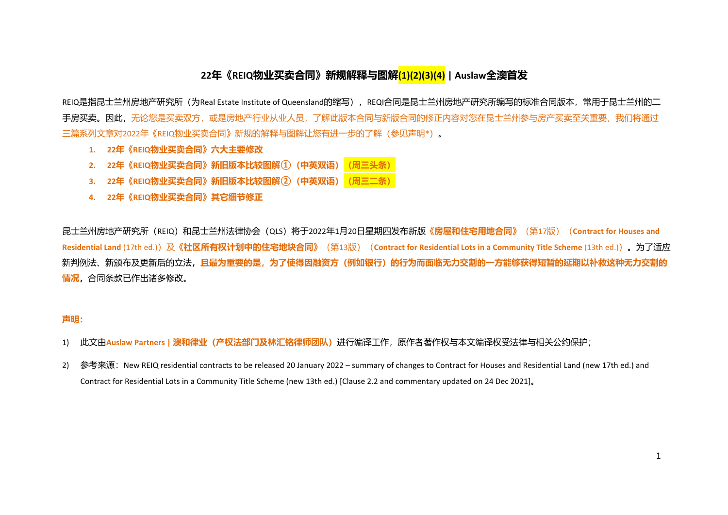# **22年《REIQ物业买卖合同》新规解释与图解(1)(2)(3)(4) | Auslaw全澳首发**

REIQ是指昆士兰州房地产研究所(为Real Estate Institute of Queensland的缩写),REQI合同是昆士兰州房地产研究所编写的标准合同版本,常用于昆士兰州的二 手房买卖。因此,无论您是买卖双方,或是房地产行业从业人员,了解此版本合同与新版合同的修正内容对您在昆士兰州参与房产买卖至关重要,我们将通过 三篇系列文章对2022年《REIQ物业买卖合同》新规的解释与图解让您有进一步的了解(参见声明\*)。

- **1. 22年《REIQ物业买卖合同》六大主要修改**
- 2. **22年《REIQ物业买卖合同》新旧版本比较图解**① (中英双语)
- 3. **22年《REIQ物业买卖合同》新旧版本比较图解<sup>(2)</sup> (中英双语)**
- **4. 22年《REIQ物业买卖合同》其它细节修正**

昆士兰州房地产研究所(REIQ)和昆士兰州法律协会(QLS)将于2022年1月20日星期四发布新版《<mark>房屋和住宅用地合同》</mark>(第17版)(Contract for Houses and Residential Land (17th ed.)) 及《**社区所有权计划中的住宅地块合同》**(第13版) (Contract for Residential Lots in a Community Title Scheme (13th ed.)) 。为了适应 新判例法、新颁布及更新后的立法,且最为重要的是,为了使得因融资方(例如银行)的行为而面临无力交割的一方能够获得短暂的延期以补救这种无力交割的 **情况,**合同条款已作出诸多修改。

## **声明:**

- 1) 此文由**Auslaw Partners | 澳和律业(产权法部门及林汇铭律师团队)**进行编译工作,原作者著作权与本文编译权受法律与相关公约保护;
- 2) 参考来源: New REIQ residential contracts to be released 20 January 2022 summary of changes to Contract for Houses and Residential Land (new 17th ed.) and Contract for Residential Lots in a Community Title Scheme (new 13th ed.) [Clause 2.2 and commentary updated on 24 Dec 2021]。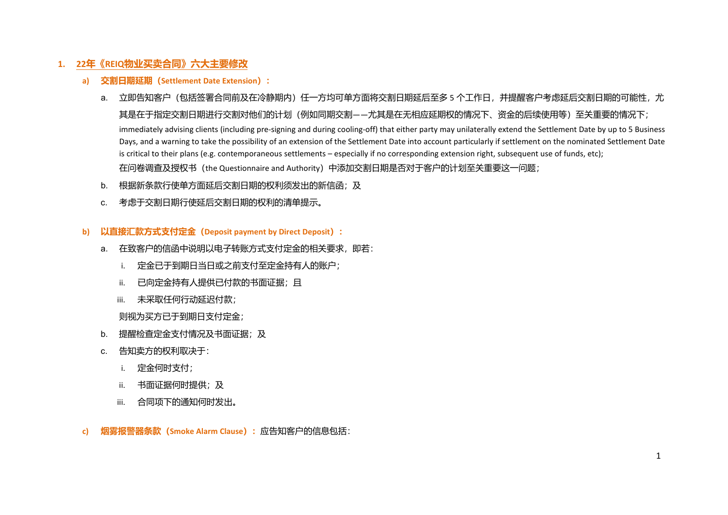# **1. 22年《REIQ物业买卖合同》六大主要修改**

- **a) 交割日期延期(Settlement Date Extension):**
	- a. 立即告知客户(包括签署合同前及在冷静期内)任一方均可单方面将交割日期延后至多 5 个工作日, 并提醒客户考虑延后交割日期的可能性, 尤 其是在于指定交割日期进行交割对他们的计划(例如同期交割——尤其是在无相应延期权的情况下、资金的后续使用等)至关重要的情况下; immediately advising clients (including pre-signing and during cooling-off) that either party may unilaterally extend the Settlement Date by up to 5 Business Days, and a warning to take the possibility of an extension of the Settlement Date into account particularly if settlement on the nominated Settlement Date is critical to their plans (e.g. contemporaneous settlements – especially if no corresponding extension right, subsequent use of funds, etc); 在问卷调查及授权书(the Questionnaire and Authority)中添加交割日期是否对于客户的计划至关重要这一问题;
	- b. 根据新条款行使单方面延后交割日期的权利须发出的新信函;及
	- c. 考虑于交割日期行使延后交割日期的权利的清单提示。
- **b) 以直接汇款方式支付定金(Deposit payment by Direct Deposit):**
	- a. 在致客户的信函中说明以电子转账方式支付定金的相关要求,即若:
		- i. 定金已于到期日当日或之前支付至定金持有人的账户;
		- ii. 已向定金持有人提供已付款的书面证据;且
		- iii. 未采取任何行动延迟付款;

则视为买方已于到期日支付定金;

- b. 提醒检查定金支付情况及书面证据;及
- c. 告知卖方的权利取决于:
	- i. 定金何时支付;
	- ii. 书面证据何时提供;及
	- iii. 合同项下的通知何时发出。
- **c) 烟雾报警器条款(Smoke Alarm Clause):**应告知客户的信息包括: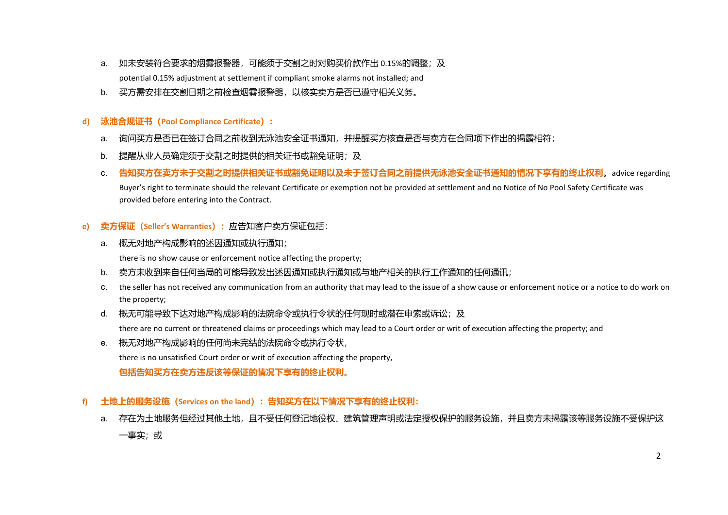- a. 如未安装符合要求的烟雾报警器,可能须于交割之时对购买价款作出 0.15%的调整;及 potential 0.15% adjustment at settlement if compliant smoke alarms not installed; and
- b. 买方需安排在交割日期之前检查烟雾报警器,以核实卖方是否已遵守相关义务。

## **d) 泳池合规证书(Pool Compliance Certificate):**

- a. 询问买方是否已在签订合同之前收到无泳池安全证书通知,并提醒买方核查是否与卖方在合同项下作出的揭露相符;
- b. 提醒从业人员确定须于交割之时提供的相关证书或豁免证明;及
- c. **告知买方在卖方未于交割之时提供相关证书或豁免证明以及未于签订合同之前提供无泳池安全证书通知的情况下享有的终止权利**。advice regarding Buyer's right to terminate should the relevant Certificate or exemption not be provided at settlement and no Notice of No Pool Safety Certificate was provided before entering into the Contract.

## **e) 卖方保证(Seller's Warranties):**应告知客户卖方保证包括:

a. 概无对地产构成影响的述因通知或执行通知;

there is no show cause or enforcement notice affecting the property;

- b. 卖方未收到来自任何当局的可能导致发出述因通知或执行通知或与地产相关的执行工作通知的任何通讯;
- c. the seller has not received any communication from an authority that may lead to the issue of a show cause or enforcement notice or a notice to do work on the property;
- d. 概无可能导致下达对地产构成影响的法院命令或执行令状的任何现时或潜在申索或诉讼;及

there are no current or threatened claims or proceedings which may lead to a Court order or writ of execution affecting the property; and

- e. 概无对地产构成影响的任何尚未完结的法院命令或执行令状, there is no unsatisfied Court order or writ of execution affecting the property, **包括告知买方在卖方违反该等保证的情况下享有的终止权利。**
- **f) 土地上的服务设施(Services on the land):告知买方在以下情况下享有的终止权利:**
	- a. 存在为土地服务但经过其他土地,且不受任何登记地役权、建筑管理声明或法定授权保护的服务设施,并且卖方未揭露该等服务设施不受保护这 一事实;或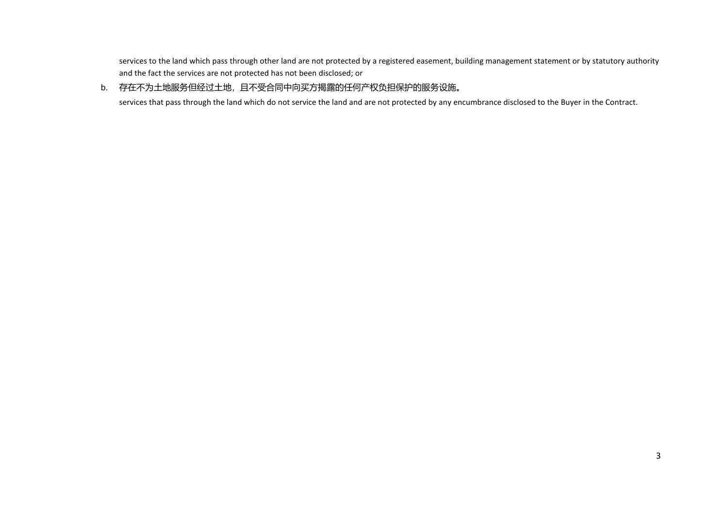services to the land which pass through other land are not protected by a registered easement, building management statement or by statutory authority and the fact the services are not protected has not been disclosed; or

# b. 存在不为土地服务但经过土地,且不受合同中向买方揭露的任何产权负担保护的服务设施。

services that pass through the land which do not service the land and are not protected by any encumbrance disclosed to the Buyer in the Contract.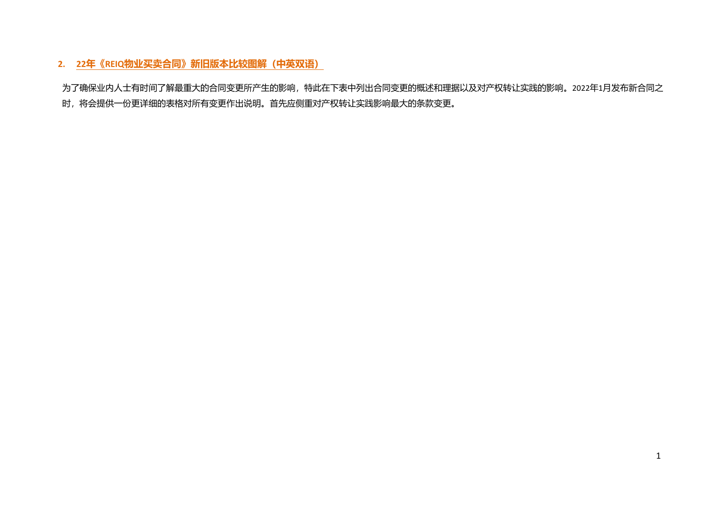# **2. 22年《REIQ物业买卖合同》新旧版本比较图解(中英双语)**

为了确保业内人士有时间了解最重大的合同变更所产生的影响,特此在下表中列出合同变更的概述和理据以及对产权转让实践的影响。2022年1月发布新合同之 时,将会提供一份更详细的表格对所有变更作出说明。首先应侧重对产权转让实践影响最大的条款变更。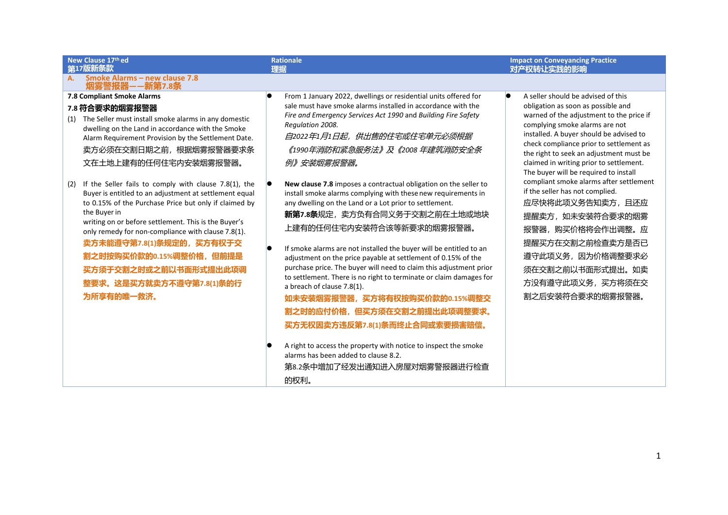#### **New Clause 17th ed 第17版新条款**

#### **Rationale 理据**

#### **A. Smoke Alarms – new clause 7.8 烟雾警报器——新第7.8条**

#### **7.8 Compliant Smoke Alarms**

#### **7.8 符合要求的烟雾报警器**

- (1) The Seller must install smoke alarms in any domestic dwelling on the Land in accordance with the Smoke Alarm Requirement Provision by the Settlement Date. 卖方必须在交割日期之前,根据烟雾报警器要求条 文在土地上建有的任何住宅内安装烟雾报警器。
- (2) If the Seller fails to comply with clause 7.8(1), the Buyer is entitled to an adjustment at settlement equal to 0.15% of the Purchase Price but only if claimed by the Buyer in writing on or before settlement. This is the Buyer's only remedy for non-compliance with clause 7.8(1). **卖方未能遵守第7.8(1)条规定的,买方有权于交 割之时按购买价款的0.15%调整价格,但前提是 买方须于交割之时或之前以书面形式提出此项调 整要求。这是买方就卖方不遵守第7.8(1)条的行 为所享有的唯一救济。**
- **From 1 January 2022, dwellings or residential units offered for** sale must have smoke alarms installed in accordance with the *Fire and Emergency Services Act 1990* and *Building Fire Safety Regulation 2008.*

自*2022*年*1*月*1*日起,供出售的住宅或住宅单元必须根据 《*1990*年消防和紧急服务法》及《*2008* 年建筑消防安全条 例》安装烟雾报警器。

- **New clause 7.8** imposes a contractual obligation on the seller to install smoke alarms complying with thesenew requirements in any dwelling on the Land or a Lot prior to settlement. **新第7.8条**规定,卖方负有合同义务于交割之前在土地或地块 上建有的任何住宅内安装符合该等新要求的烟雾报警器。
- $\bullet$  If smoke alarms are not installed the buver will be entitled to an adjustment on the price payable at settlement of 0.15% of the purchase price. The buyer will need to claim this adjustment prior to settlement. There is no right to terminate or claim damages for a breach of clause 7.8(1).

**如未安装烟雾报警器,买方将有权按购买价款的0.15%调整交 割之时的应付价格,但买方须在交割之前提出此项调整要求。 买方无权因卖方违反第7.8(1)条而终止合同或索要损害赔偿。**

第8.2条中增加了经发出通知进入房屋对烟雾警报器进行检查 的权利。

 $\bullet$  A seller should be advised of this obligation as soon as possible and warned of the adjustment to the price if complying smoke alarms are not installed. A buyer should be advised to check compliance prior to settlement as the right to seek an adjustment must be claimed in writing prior to settlement. The buyer will be required to install compliant smoke alarms after settlement if the seller has not complied. 应尽快将此项义务告知卖方,且还应 提醒卖方,如未安装符合要求的烟雾 报警器,购买价格将会作出调整。应 提醒买方在交割之前检查卖方是否已 遵守此项义务,因为价格调整要求必 须在交割之前以书面形式提出。如卖 方没有遵守此项义务,买方将须在交 割之后安装符合要求的烟雾报警器。

**Impact on Conveyancing Practice**

**对产权转让实践的影响**

A right to access the property with notice to inspect the smoke alarms has been added to clause 8.2.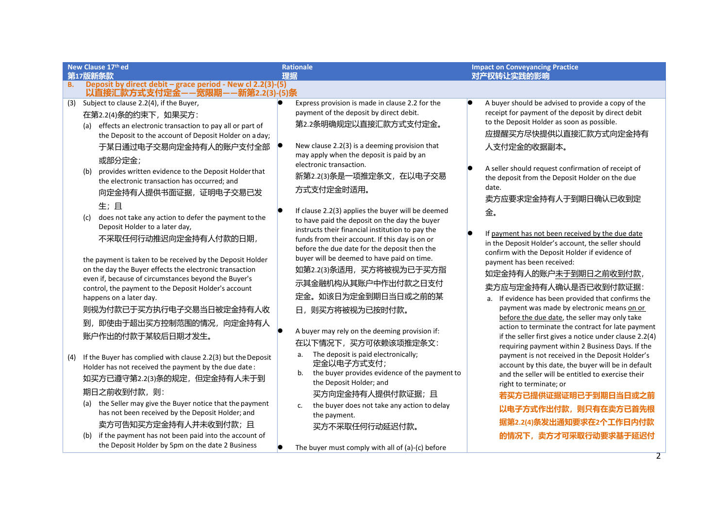|           | New Clause 17th ed                                                                                                                                                                                                                                                                                                                                                                                                                        |    | <b>Rationale</b>                                                                                                                                                                                                                                                                                                                                                                                                     |   | <b>Impact on Conveyancing Practice</b>                                                                                                                                                                                                                                                                                                                                                                                                                                                                                                                                                                              |
|-----------|-------------------------------------------------------------------------------------------------------------------------------------------------------------------------------------------------------------------------------------------------------------------------------------------------------------------------------------------------------------------------------------------------------------------------------------------|----|----------------------------------------------------------------------------------------------------------------------------------------------------------------------------------------------------------------------------------------------------------------------------------------------------------------------------------------------------------------------------------------------------------------------|---|---------------------------------------------------------------------------------------------------------------------------------------------------------------------------------------------------------------------------------------------------------------------------------------------------------------------------------------------------------------------------------------------------------------------------------------------------------------------------------------------------------------------------------------------------------------------------------------------------------------------|
|           | 第17版新条款<br>Deposit by direct debit - grace period - New cl 2.2(3)-(5)                                                                                                                                                                                                                                                                                                                                                                     | 理据 |                                                                                                                                                                                                                                                                                                                                                                                                                      |   | 对产权转让实践的影响                                                                                                                                                                                                                                                                                                                                                                                                                                                                                                                                                                                                          |
| <b>B.</b> | 以直接汇款方式支付定金——宽限期——新第2.2(3)-(5)条                                                                                                                                                                                                                                                                                                                                                                                                           |    |                                                                                                                                                                                                                                                                                                                                                                                                                      |   |                                                                                                                                                                                                                                                                                                                                                                                                                                                                                                                                                                                                                     |
| (3)       | Subject to clause 2.2(4), if the Buyer,<br>在第2.2(4)条的约束下, 如果买方:<br>(a) effects an electronic transaction to pay all or part of<br>the Deposit to the account of Deposit Holder on aday;<br>于某日通过电子交易向定金持有人的账户支付全部<br>或部分定金;<br>provides written evidence to the Deposit Holder that<br>(b)<br>the electronic transaction has occurred; and<br>向定金持有人提供书面证据,证明电子交易已发<br>生;且<br>does not take any action to defer the payment to the<br>(c) |    | Express provision is made in clause 2.2 for the<br>payment of the deposit by direct debit.<br>第2.2条明确规定以直接汇款方式支付定金。<br>New clause 2.2(3) is a deeming provision that<br>may apply when the deposit is paid by an<br>electronic transaction.<br>新第2.2(3)条是一项推定条文, 在以电子交易<br>方式支付定金时适用。<br>If clause 2.2(3) applies the buyer will be deemed<br>to have paid the deposit on the day the buyer                          | г | A buyer should be advised to provide a copy of the<br>receipt for payment of the deposit by direct debit<br>to the Deposit Holder as soon as possible.<br>应提醒买方尽快提供以直接汇款方式向定金持有<br>人支付定金的收据副本。<br>A seller should request confirmation of receipt of<br>the deposit from the Deposit Holder on the due<br>date.<br>卖方应要求定金持有人于到期日确认已收到定<br>金。                                                                                                                                                                                                                                                                       |
|           | Deposit Holder to a later day,<br>不采取任何行动推迟向定金持有人付款的日期,<br>the payment is taken to be received by the Deposit Holder<br>on the day the Buyer effects the electronic transaction<br>even if, because of circumstances beyond the Buyer's<br>control, the payment to the Deposit Holder's account<br>happens on a later day.<br>则视为付款已于买方执行电子交易当日被定金持有人收<br>即使由于超出买方控制范围的情况,向定金持有人<br>到.<br>账户作出的付款于某较后日期才发生。                               |    | instructs their financial institution to pay the<br>funds from their account. If this day is on or<br>before the due date for the deposit then the<br>buyer will be deemed to have paid on time.<br>如第2.2(3)条适用, 买方将被视为已于买方指<br>示其金融机构从其账户中作出付款之日支付<br>定金。如该日为定金到期日当日或之前的某<br>日, 则买方将被视为已按时付款。<br>A buyer may rely on the deeming provision if:<br>在以下情况下, 买方可依赖该项推定条文:<br>The deposit is paid electronically;<br>a. |   | If payment has not been received by the due date<br>in the Deposit Holder's account, the seller should<br>confirm with the Deposit Holder if evidence of<br>payment has been received:<br>如定金持有人的账户未于到期日之前收到付款,<br>卖方应与定金持有人确认是否已收到付款证据:<br>a. If evidence has been provided that confirms the<br>payment was made by electronic means on or<br>before the due date, the seller may only take<br>action to terminate the contract for late payment<br>if the seller first gives a notice under clause 2.2(4)<br>requiring payment within 2 Business Days. If the<br>payment is not received in the Deposit Holder's |
| (4)       | If the Buyer has complied with clause 2.2(3) but the Deposit<br>Holder has not received the payment by the due date:<br>如买方已遵守第2.2(3)条的规定,但定金持有人未于到<br>期日之前收到付款, 则:<br>the Seller may give the Buyer notice that the payment<br>(a)<br>has not been received by the Deposit Holder; and<br>卖方可告知买方定金持有人并未收到付款;且<br>if the payment has not been paid into the account of<br>(b)<br>the Deposit Holder by 5pm on the date 2 Business        |    | 定金以电子方式支付;<br>the buyer provides evidence of the payment to<br>b.<br>the Deposit Holder; and<br>买方向定金持有人提供付款证据;且<br>the buyer does not take any action to delay<br>c.<br>the payment.<br>买方不采取任何行动延迟付款。<br>The buyer must comply with all of (a)-(c) before                                                                                                                                                          |   | account by this date, the buyer will be in default<br>and the seller will be entitled to exercise their<br>right to terminate; or<br>若买方已提供证据证明已于到期日当日或之前<br>以电子方式作出付款, 则只有在卖方已首先根<br>据第2.2(4)条发出通知要求在2个工作日内付款<br>的情况下,卖方才可采取行动要求基于延迟付                                                                                                                                                                                                                                                                                                                                                                              |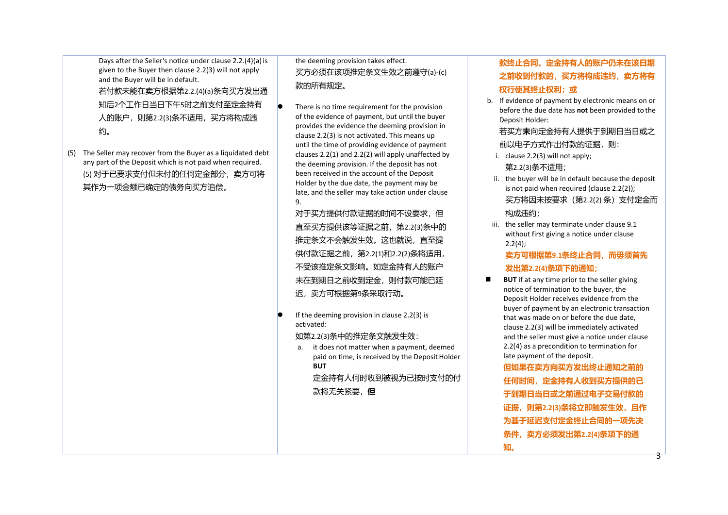Days after the Seller's notice under clause 2.2.(4)(a) is given to the Buyer then clause 2.2(3) will not apply and the Buyer will be in default. 若付款未能在卖方根据第2.2.(4)(a)条向买方发出通 知后2个工作日当日下午5时之前支付至定金持有 人的账户,则第2.2(3)条不适用,买方将构成违 约。

(5) The Seller may recover from the Buyer as a liquidated debt any part of the Deposit which is not paid when required. (5) 对于已要求支付但未付的任何定金部分,卖方可将 其作为一项金额已确定的债务向买方追偿。

# the deeming provision takes effect. 买方必须在该项推定条文生效之前遵守(a)-(c) 款的所有规定。

 There is no time requirement for the provision of the evidence of payment, but until the buyer provides the evidence the deeming provision in clause 2.2(3) is not activated. This means up until the time of providing evidence of payment clauses 2.2(1) and 2.2(2) will apply unaffected by the deeming provision. If the deposit has not been received in the account of the Deposit Holder by the due date, the payment may be late, and the seller may take action under clause 9.

对于买方提供付款证据的时间不设要求, 但 直至买方提供该等证据之前,第2.2(3)条中的 推定条文不会触发生效。这也就说,直至提 供付款证据之前,第2.2(1)和2.2(2)条将适用, 不受该推定条文影响。如定金持有人的账户 未在到期日之前收到定金,则付款可能已延 迟,卖方可根据第9条采取行动。

 If the deeming provision in clause 2.2(3) is activated:

如第2.2(3)条中的推定条文触发生效:

a. it does not matter when a payment, deemed paid on time, is received by the Deposit Holder **BUT**

定金持有人何时收到被视为已按时支付的付 款将无关紧要,**但**

# **款终止合同。定金持有人的账户仍未在该日期 之前收到付款的,买方将构成违约,卖方将有 权行使其终止权利;或**

b. If evidence of payment by electronic means on or before the due date has **not** been provided to the Deposit Holder:

若买方**未**向定金持有人提供于到期日当日或之 前以电子方式作出付款的证据,则:

- i. clause 2.2(3) will not apply; 第2.2(3)条不适用;
- ii. the buyer will be in default because the deposit is not paid when required (clause 2.2(2)); 买方将因未按要求(第2.2(2) 条)支付定金而 构成违约;
- iii. the seller may terminate under clause 9.1 without first giving a notice under clause 2.2(4);

**卖方可根据第9.1条终止合同,而毋须首先 发出第2.2(4)条项下的通知;**

■ **BUT** if at any time prior to the seller giving notice of termination to the buyer, the Deposit Holder receives evidence from the buyer of payment by an electronic transaction that was made on or before the due date, clause 2.2(3) will be immediately activated and the seller must give a notice under clause 2.2(4) as a precondition to termination for late payment of the deposit.

> **但如果在卖方向买方发出终止通知之前的** 任何时间,定金持有人收到买方提供的**已 于到期日当日或之前通过电子交易付款的 证据,则第2.2(3)条将立即触发生效,且作 为基于延迟支付定金终止合同的一项先决 条件,卖方必须发出第2.2(4)条项下的通 知。**

> > 3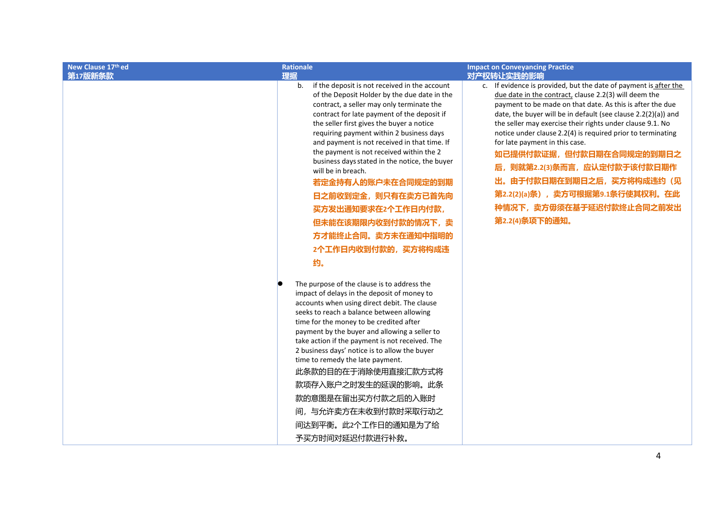| New Clause 17th ed<br>第17版新条款 | <b>Rationale</b><br>理据                                                                                                                                                                                                                                                                                                                                                                                                                                                                                                                                                                                  | <b>Impact on Conveyancing Practice</b><br>对产权转让实践的影响                                                                                                                                                                                                                                                                                                                                                                                                                                                                                                                                                 |
|-------------------------------|---------------------------------------------------------------------------------------------------------------------------------------------------------------------------------------------------------------------------------------------------------------------------------------------------------------------------------------------------------------------------------------------------------------------------------------------------------------------------------------------------------------------------------------------------------------------------------------------------------|------------------------------------------------------------------------------------------------------------------------------------------------------------------------------------------------------------------------------------------------------------------------------------------------------------------------------------------------------------------------------------------------------------------------------------------------------------------------------------------------------------------------------------------------------------------------------------------------------|
|                               | if the deposit is not received in the account<br>b.<br>of the Deposit Holder by the due date in the<br>contract, a seller may only terminate the<br>contract for late payment of the deposit if<br>the seller first gives the buyer a notice<br>requiring payment within 2 business days<br>and payment is not received in that time. If<br>the payment is not received within the 2<br>business days stated in the notice, the buyer<br>will be in breach.<br>若定金持有人的账户未在合同规定的到期<br>日之前收到定金, 则只有在卖方已首先向<br>买方发出通知要求在2个工作日内付款,<br>但未能在该期限内收到付款的情况下,卖<br>方才能终止合同。卖方未在通知中指明的<br>2个工作日内收到付款的, 买方将构成违<br>约。 | c. If evidence is provided, but the date of payment is after the<br>due date in the contract, clause 2.2(3) will deem the<br>payment to be made on that date. As this is after the due<br>date, the buyer will be in default (see clause 2.2(2)(a)) and<br>the seller may exercise their rights under clause 9.1. No<br>notice under clause 2.2(4) is required prior to terminating<br>for late payment in this case.<br>如已提供付款证据, 但付款日期在合同规定的到期日之<br>后, 则就第2.2(3)条而言, 应认定付款于该付款日期作<br>出。由于付款日期在到期日之后, 买方将构成违约 (见<br>第2.2(2)(a)条), 卖方可根据第9.1条行使其权利。在此<br>种情况下, 卖方毋须在基于延迟付款终止合同之前发出<br>第2.2(4)条项下的通知。 |
|                               | The purpose of the clause is to address the<br>impact of delays in the deposit of money to<br>accounts when using direct debit. The clause<br>seeks to reach a balance between allowing<br>time for the money to be credited after<br>payment by the buyer and allowing a seller to<br>take action if the payment is not received. The<br>2 business days' notice is to allow the buyer<br>time to remedy the late payment.<br>此条款的目的在于消除使用直接汇款方式将<br>款项存入账户之时发生的延误的影响。此条<br>款的意图是在留出买方付款之后的入账时<br>间,与允许卖方在未收到付款时采取行动之<br>间达到平衡。此2个工作日的通知是为了给<br>予买方时间对延迟付款进行补救。                                        |                                                                                                                                                                                                                                                                                                                                                                                                                                                                                                                                                                                                      |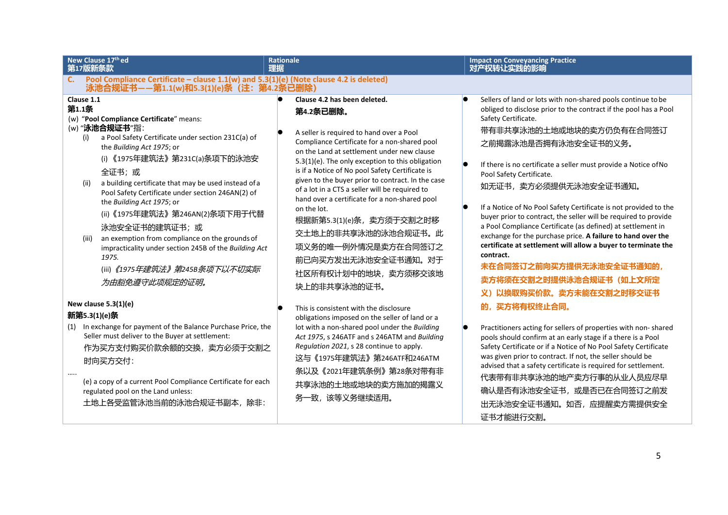| New Clause 17th ed<br>第17版新条款                                                                                                                                                                                                                                                                                                                                                                                                                                                                                                                                                                 | <b>Rationale</b><br>理据                                                                                                                                                                                                                                                                                                                                                                                                                                                                                                                                                     | <b>Impact on Conveyancing Practice</b><br>对产权转让实践的影响                                                                                                                                                                                                                                                                                                                                                                                                                                                                                                                                                                                                                                                       |
|-----------------------------------------------------------------------------------------------------------------------------------------------------------------------------------------------------------------------------------------------------------------------------------------------------------------------------------------------------------------------------------------------------------------------------------------------------------------------------------------------------------------------------------------------------------------------------------------------|----------------------------------------------------------------------------------------------------------------------------------------------------------------------------------------------------------------------------------------------------------------------------------------------------------------------------------------------------------------------------------------------------------------------------------------------------------------------------------------------------------------------------------------------------------------------------|------------------------------------------------------------------------------------------------------------------------------------------------------------------------------------------------------------------------------------------------------------------------------------------------------------------------------------------------------------------------------------------------------------------------------------------------------------------------------------------------------------------------------------------------------------------------------------------------------------------------------------------------------------------------------------------------------------|
| Pool Compliance Certificate - clause 1.1(w) and 5.3(1)(e) (Note clause 4.2 is deleted)<br>C.<br>泳池合规证书--第1.1(w)和5.3(1)(e)条 (注: 第4.2条已删除)<br>Clause 1.1                                                                                                                                                                                                                                                                                                                                                                                                                                        | Clause 4.2 has been deleted.                                                                                                                                                                                                                                                                                                                                                                                                                                                                                                                                               | Sellers of land or lots with non-shared pools continue to be                                                                                                                                                                                                                                                                                                                                                                                                                                                                                                                                                                                                                                               |
| 第1.1条<br>(w) "Pool Compliance Certificate" means:<br>(w) "泳池合规证书"指:<br>a Pool Safety Certificate under section 231C(a) of<br>(i)<br>the Building Act 1975; or<br>(i) 《1975年建筑法》第231C(a)条项下的泳池安<br>全证书;或<br>a building certificate that may be used instead of a<br>(ii)<br>Pool Safety Certificate under section 246AN(2) of<br>the Building Act 1975; or<br>(ii) 《1975年建筑法》第246AN(2)条项下用于代替<br>泳池安全证书的建筑证书;或<br>an exemption from compliance on the grounds of<br>(iii)<br>impracticality under section 245B of the Building Act<br>1975.<br>(iii) 《1975年建筑法》第245B条项下以不切实际<br>为由豁免遵守此项规定的证明。 | 第4.2条已删除。<br>A seller is required to hand over a Pool<br>Compliance Certificate for a non-shared pool<br>on the Land at settlement under new clause<br>5.3(1)(e). The only exception to this obligation<br>is if a Notice of No pool Safety Certificate is<br>given to the buyer prior to contract. In the case<br>of a lot in a CTS a seller will be required to<br>hand over a certificate for a non-shared pool<br>on the lot.<br>根据新第5.3(1)(e)条, 卖方须于交割之时移<br>交土地上的非共享泳池的泳池合规证书。此<br>项义务的唯一例外情况是卖方在合同签订之<br>前已向买方发出无泳池安全证书通知。对于<br>社区所有权计划中的地块,卖方须移交该地<br>块上的非共享泳池的证书。 | obliged to disclose prior to the contract if the pool has a Pool<br>Safety Certificate.<br>带有非共享泳池的土地或地块的卖方仍负有在合同签订<br>之前揭露泳池是否拥有泳池安全证书的义务。<br>If there is no certificate a seller must provide a Notice of No<br>Pool Safety Certificate.<br>如无证书, 卖方必须提供无泳池安全证书通知。<br>If a Notice of No Pool Safety Certificate is not provided to the<br>buyer prior to contract, the seller will be required to provide<br>a Pool Compliance Certificate (as defined) at settlement in<br>exchange for the purchase price. A failure to hand over the<br>certificate at settlement will allow a buyer to terminate the<br>contract.<br>未在合同签订之前向买方提供无泳池安全证书通知的,<br>卖方将须在交割之时提供泳池合规证书 (如上文所定<br>义)以换取购买价款。卖方未能在交割之时移交证书 |
| New clause $5.3(1)(e)$<br>新第5.3(1)(e)条<br>(1) In exchange for payment of the Balance Purchase Price, the<br>Seller must deliver to the Buyer at settlement:<br>作为买方支付购买价款余额的交换, 卖方必须于交割之<br>时向买方交付:                                                                                                                                                                                                                                                                                                                                                                                           | This is consistent with the disclosure<br>obligations imposed on the seller of land or a<br>lot with a non-shared pool under the Building<br>Act 1975, s 246ATF and s 246ATM and Building<br>Regulation 2021, s 28 continue to apply.<br>这与《1975年建筑法》第246ATF和246ATM<br>条以及《2021年建筑条例》第28条对带有非                                                                                                                                                                                                                                                                              | 的,买方将有权终止合同。<br>Practitioners acting for sellers of properties with non-shared<br>pools should confirm at an early stage if a there is a Pool<br>Safety Certificate or if a Notice of No Pool Safety Certificate<br>was given prior to contract. If not, the seller should be<br>advised that a safety certificate is required for settlement.                                                                                                                                                                                                                                                                                                                                                             |
| (e) a copy of a current Pool Compliance Certificate for each                                                                                                                                                                                                                                                                                                                                                                                                                                                                                                                                  | 共享泳池的土地或地块的卖方施加的揭露义                                                                                                                                                                                                                                                                                                                                                                                                                                                                                                                                                        | 代表带有非共享泳池的地产卖方行事的从业人员应尽早                                                                                                                                                                                                                                                                                                                                                                                                                                                                                                                                                                                                                                                                                   |

务一致,该等义务继续适用。

regulated pool on the Land unless: 土地上各受监管泳池当前的泳池合规证书副本,除非:

5

确认是否有泳池安全证书,或是否已在合同签订之前发 出无泳池安全证书通知。如否,应提醒卖方需提供安全

证书才能进行交割。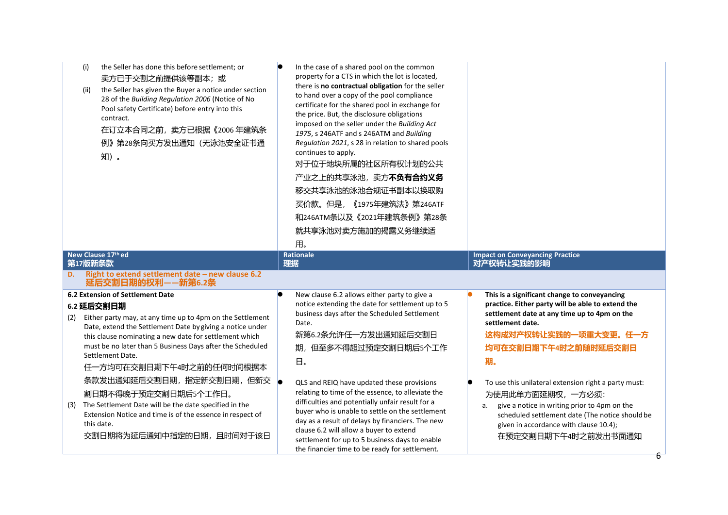| the Seller has done this before settlement; or<br>(i)<br>卖方已于交割之前提供该等副本; 或<br>the Seller has given the Buyer a notice under section<br>(ii)<br>28 of the Building Regulation 2006 (Notice of No<br>Pool safety Certificate) before entry into this<br>contract.<br>在订立本合同之前, 卖方已根据《2006年建筑条<br>例》第28条向买方发出通知(无泳池安全证书通<br>知)。                                                                                                                                                                                                                                                                  | In the case of a shared pool on the common<br>property for a CTS in which the lot is located,<br>there is no contractual obligation for the seller<br>to hand over a copy of the pool compliance<br>certificate for the shared pool in exchange for<br>the price. But, the disclosure obligations<br>imposed on the seller under the Building Act<br>1975, s 246ATF and s 246ATM and Building<br>Regulation 2021, s 28 in relation to shared pools<br>continues to apply.<br>对于位于地块所属的社区所有权计划的公共<br>产业之上的共享泳池,卖方不负有合约义务<br>移交共享泳池的泳池合规证书副本以换取购<br>买价款。但是, 《1975年建筑法》第246ATF<br>和246ATM条以及《2021年建筑条例》第28条<br>就共享泳池对卖方施加的揭露义务继续适<br>用。 |                                                                                                                                                                                                                                                                                                                                                                                                                                                                                     |
|-----------------------------------------------------------------------------------------------------------------------------------------------------------------------------------------------------------------------------------------------------------------------------------------------------------------------------------------------------------------------------------------------------------------------------------------------------------------------------------------------------------------------------------------------------------------------------------------------|--------------------------------------------------------------------------------------------------------------------------------------------------------------------------------------------------------------------------------------------------------------------------------------------------------------------------------------------------------------------------------------------------------------------------------------------------------------------------------------------------------------------------------------------------------------------------------------------------------------------------------------|-------------------------------------------------------------------------------------------------------------------------------------------------------------------------------------------------------------------------------------------------------------------------------------------------------------------------------------------------------------------------------------------------------------------------------------------------------------------------------------|
| New Clause 17th ed<br>第17版新条款                                                                                                                                                                                                                                                                                                                                                                                                                                                                                                                                                                 | <b>Rationale</b><br>理据                                                                                                                                                                                                                                                                                                                                                                                                                                                                                                                                                                                                               | <b>Impact on Conveyancing Practice</b><br>对产权转让实践的影响                                                                                                                                                                                                                                                                                                                                                                                                                                |
| Right to extend settlement date - new clause 6.2<br>D.<br>延后交割日期的权利——新第6.2条                                                                                                                                                                                                                                                                                                                                                                                                                                                                                                                   |                                                                                                                                                                                                                                                                                                                                                                                                                                                                                                                                                                                                                                      |                                                                                                                                                                                                                                                                                                                                                                                                                                                                                     |
| <b>6.2 Extension of Settlement Date</b><br>6.2 延后交割日期<br>Either party may, at any time up to 4pm on the Settlement<br>(2)<br>Date, extend the Settlement Date by giving a notice under<br>this clause nominating a new date for settlement which<br>must be no later than 5 Business Days after the Scheduled<br>Settlement Date.<br>任一方均可在交割日期下午4时之前的任何时间根据本<br>条款发出通知延后交割日期, 指定新交割日期, 但新交  <br>割日期不得晚于预定交割日期后5个工作日。<br>The Settlement Date will be the date specified in the<br>(3)<br>Extension Notice and time is of the essence in respect of<br>this date.<br>交割日期将为延后通知中指定的日期, 且时间对于该日 | New clause 6.2 allows either party to give a<br>notice extending the date for settlement up to 5<br>business days after the Scheduled Settlement<br>Date.<br>新第6.2条允许任一方发出通知延后交割日<br>期,但至多不得超过预定交割日期后5个工作<br>日。<br>QLS and REIQ have updated these provisions<br>relating to time of the essence, to alleviate the<br>difficulties and potentially unfair result for a<br>buyer who is unable to settle on the settlement<br>day as a result of delays by financiers. The new<br>clause 6.2 will allow a buyer to extend<br>settlement for up to 5 business days to enable<br>the financier time to be ready for settlement.         | This is a significant change to conveyancing<br>practice. Either party will be able to extend the<br>settlement date at any time up to 4pm on the<br>settlement date.<br>这构成对产权转让实践的一项重大变更。任一方<br>均可在交割日期下午4时之前随时延后交割日<br>期。<br>To use this unilateral extension right a party must:<br>为使用此单方面延期权, 一方必须:<br>give a notice in writing prior to 4pm on the<br>а.<br>scheduled settlement date (The notice should be<br>given in accordance with clause 10.4);<br>在预定交割日期下午4时之前发出书面通知 |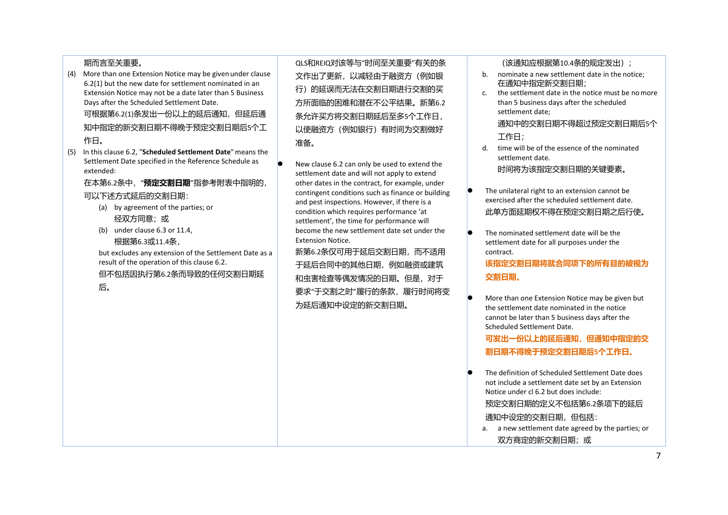## 期而言至关重要。

(4) More than one Extension Notice may be given under clause 6.2(1) but the new date for settlement nominated in an Extension Notice may not be a date later than 5 Business Days after the Scheduled Settlement Date.

可根据第6.2(1)条发出一份以上的延后通知,但延后通 知中指定的新交割日期不得晚于预定交割日期后5个工 作日。

(5) In this clause 6.2, "**Scheduled Settlement Date**"means the Settlement Date specified in the Reference Schedule as extended:

在本第6.2条中,"**预定交割日期**"指参考附表中指明的,

### 可以下述方式延后的交割日期:

- (a) by agreement of the parties; or 经双方同意;或
- (b) under clause 6.3 or 11.4, 根据第6.3或11.4条,

but excludes any extension of the Settlement Date as a result of the operation of this clause 6.2. 但不包括因执行第6.2条而导致的任何交割日期延

后。

QLS和REIQ对该等与"时间至关重要"有关的条 文作出了更新,以减轻由于融资方(例如银 行)的延误而无法在交割日期进行交割的买 方所面临的困难和潜在不公平结果。新第6.2 条允许买方将交割日期延后至多5个工作日, 以使融资方(例如银行)有时间为交割做好 准备。

 New clause 6.2 can only be used to extend the settlement date and will not apply to extend other dates in the contract, for example, under contingent conditions such as finance or building and pest inspections. However, if there is a condition which requires performance 'at settlement', the time for performance will become the new settlement date set under the Extension Notice.

新第6.2条仅可用于延后交割日期,而不适用 于延后合同中的其他日期,例如融资或建筑 和虫害检查等偶发情况的日期。但是,对于 要求"于交割之时"履行的条款,履行时间将变 为延后通知中设定的新交割日期。

(该通知应根据第10.4条的规定发出);

- b. nominate a new settlement date in the notice; 在通知中指定新交割日期;
- c. the settlement date in the notice must be nomore than 5 business days after the scheduled settlement date;

通知中的交割日期不得超过预定交割日期后5个 工作日;

- d. time will be of the essence of the nominated settlement date. 时间将为该指定交割日期的关键要素。
- The unilateral right to an extension cannot be exercised after the scheduled settlement date. 此单方面延期权不得在预定交割日期之后行使。
- $\bullet$  The nominated settlement date will be the settlement date for all purposes under the contract.

# **该指定交割日期将就合同项下的所有目的被视为 交割日期。**

 More than one Extension Notice may be given but the settlement date nominated in the notice cannot be later than 5 business days after the Scheduled Settlement Date.

**可发出一份以上的延后通知,但通知中指定的交 割日期不得晚于预定交割日期后5个工作日。**

 The definition of Scheduled Settlement Date does not include a settlement date set by an Extension Notice under cl 6.2 but does include:

预定交割日期的定义不包括第6.2条项下的延后 通知中设定的交割日期,但包括:

a. a new settlement date agreed by the parties; or 双方商定的新交割日期; 或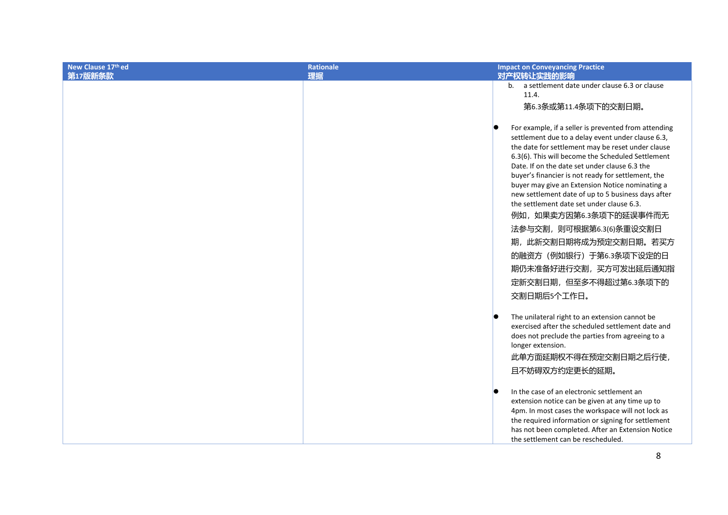| New Clause 17th ed<br>第17版新条款 | <b>Rationale</b><br>理据 | <b>Impact on Conveyancing Practice</b><br>对产权转让实践的影响                                                                                                                                                                                                                                                                                                                                                                                                                                                                                                                                                                                              |
|-------------------------------|------------------------|---------------------------------------------------------------------------------------------------------------------------------------------------------------------------------------------------------------------------------------------------------------------------------------------------------------------------------------------------------------------------------------------------------------------------------------------------------------------------------------------------------------------------------------------------------------------------------------------------------------------------------------------------|
|                               |                        | b. a settlement date under clause 6.3 or clause<br>11.4.<br>第6.3条或第11.4条项下的交割日期。                                                                                                                                                                                                                                                                                                                                                                                                                                                                                                                                                                  |
|                               |                        | For example, if a seller is prevented from attending<br>settlement due to a delay event under clause 6.3,<br>the date for settlement may be reset under clause<br>6.3(6). This will become the Scheduled Settlement<br>Date. If on the date set under clause 6.3 the<br>buyer's financier is not ready for settlement, the<br>buyer may give an Extension Notice nominating a<br>new settlement date of up to 5 business days after<br>the settlement date set under clause 6.3.<br>例如, 如果卖方因第6.3条项下的延误事件而无<br>法参与交割, 则可根据第6.3(6)条重设交割日<br>期, 此新交割日期将成为预定交割日期。若买方<br>的融资方 (例如银行) 于第6.3条项下设定的日<br>期仍未准备好进行交割, 买方可发出延后通知指<br>定新交割日期,但至多不得超过第6.3条项下的 |
|                               |                        | 交割日期后5个工作日。                                                                                                                                                                                                                                                                                                                                                                                                                                                                                                                                                                                                                                       |
|                               |                        | The unilateral right to an extension cannot be<br>exercised after the scheduled settlement date and<br>does not preclude the parties from agreeing to a<br>longer extension.<br>此单方面延期权不得在预定交割日期之后行使,<br>且不妨碍双方约定更长的延期。                                                                                                                                                                                                                                                                                                                                                                                                                           |
|                               |                        | In the case of an electronic settlement an<br>extension notice can be given at any time up to<br>4pm. In most cases the workspace will not lock as<br>the required information or signing for settlement<br>has not been completed. After an Extension Notice<br>the settlement can be rescheduled.                                                                                                                                                                                                                                                                                                                                               |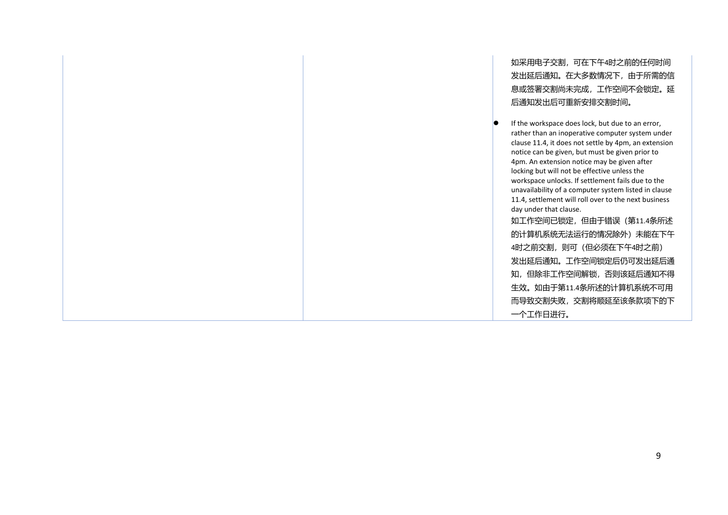如采用电子交割,可在下午4时之前的任何时间 发出延后通知。在大多数情况下,由于所需的信 息或签署交割尚未完成,工作空间不会锁定。延 后通知发出后可重新安排交割时间。 If the workspace does lock, but due to an error, rather than an inoperative computer system under clause 11.4, it does not settle by 4pm, an extension notice can be given, but must be given prior to 4pm. An extension notice may be given after locking but will not be effective unless the workspace unlocks. If settlement fails due to the unavailability of a computer system listed in clause 11.4, settlement will roll over to the next business day under that clause. 如工作空间已锁定,但由于错误(第11.4条所述 的计算机系统无法运行的情况除外)未能在下午 4时之前交割,则可(但必须在下午4时之前) 发出延后通知。工作空间锁定后仍可发出延后通 知,但除非工作空间解锁,否则该延后通知不得 生效。如由于第11.4条所述的计算机系统不可用 而导致交割失败,交割将顺延至该条款项下的下 一个工作日进行。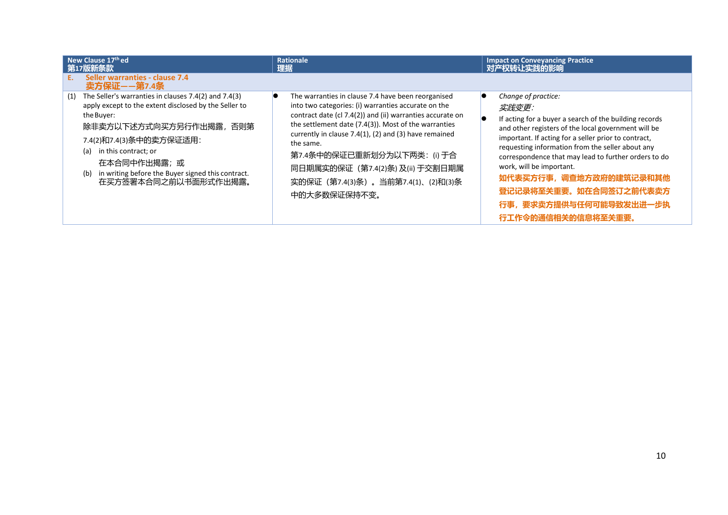|     | New Clause 17th ed<br>第17版新条款                                                                                                                                                                                                                                                                                       |    | <b>Rationale</b><br>理据                                                                                                                                                                                                                                                                                                                                                                                                         | <b>Impact on Conveyancing Practice</b><br>对产权转让实践的影响                                                                                                                                                                                                                                                                                                                                                                                                |
|-----|---------------------------------------------------------------------------------------------------------------------------------------------------------------------------------------------------------------------------------------------------------------------------------------------------------------------|----|--------------------------------------------------------------------------------------------------------------------------------------------------------------------------------------------------------------------------------------------------------------------------------------------------------------------------------------------------------------------------------------------------------------------------------|-----------------------------------------------------------------------------------------------------------------------------------------------------------------------------------------------------------------------------------------------------------------------------------------------------------------------------------------------------------------------------------------------------------------------------------------------------|
|     | Seller warranties - clause 7.4<br>卖方保证——第7.4条                                                                                                                                                                                                                                                                       |    |                                                                                                                                                                                                                                                                                                                                                                                                                                |                                                                                                                                                                                                                                                                                                                                                                                                                                                     |
| (1) | The Seller's warranties in clauses 7.4(2) and 7.4(3)<br>apply except to the extent disclosed by the Seller to<br>the Buyer:<br>除非卖方以下述方式向买方另行作出揭露, 否则第<br>7.4(2)和7.4(3)条中的卖方保证适用:<br>in this contract; or<br>(a)<br>在本合同中作出揭露;或<br>in writing before the Buyer signed this contract.<br>(b)<br>在买方签署本合同之前以书面形式作出揭露。 | lC | The warranties in clause 7.4 have been reorganised<br>into two categories: (i) warranties accurate on the<br>contract date (cl 7.4(2)) and (ii) warranties accurate on<br>the settlement date (7.4(3)). Most of the warranties<br>currently in clause 7.4(1), (2) and (3) have remained<br>the same.<br>第7.4条中的保证已重新划分为以下两类: (i) 于合<br>同日期属实的保证 (第7.4(2)条) 及(ii) 于交割日期属<br>实的保证 (第7.4(3)条) 。当前第7.4(1)、(2)和(3)条<br>中的大多数保证保持不变。 | Change of practice:<br>实践变更:<br>If acting for a buyer a search of the building records<br>and other registers of the local government will be<br>important. If acting for a seller prior to contract,<br>requesting information from the seller about any<br>correspondence that may lead to further orders to do<br>work, will be important.<br>如代表买方行事, 调查地方政府的建筑记录和其他<br>登记记录将至关重要。如在合同签订之前代表卖方<br>行事, 要求卖方提供与任何可能导致发出进一步执<br>行工作令的通信相关的信息将至关重要。 |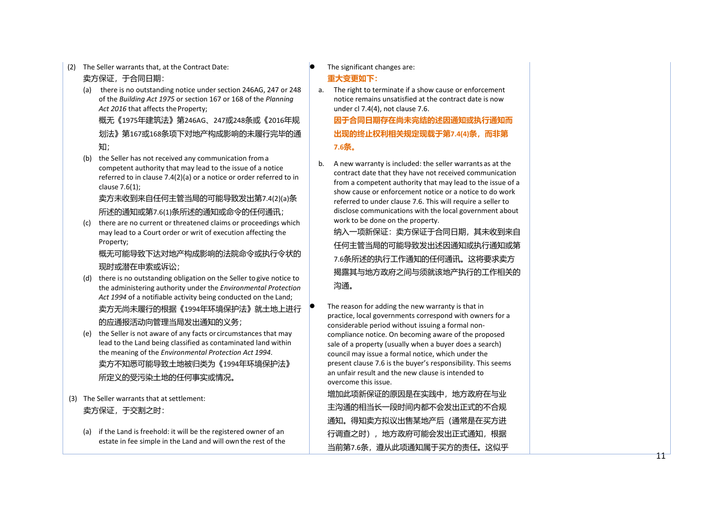(2) The Seller warrants that, at the Contract Date:

### 卖方保证,于合同日期:

(a) there is no outstanding notice under section 246AG, 247 or 248 of the *Building Act 1975* or section 167 or 168 of the *Planning*  Act 2016 that affects the Property;

概无《1975年建筑法》第246AG 、247 或248条或《2016年规 划法》第167 或168条项下对地产构成影响的未履行完毕的通 知;

(b) the Seller has not received any communication froma competent authority that may lead to the issue of a notice referred to in clause 7.4(2)(a) or a notice or order referred to in clause 7.6(1);

卖方未收到来自任何主管当局的可能导致发出第7.4(2)(a) 条 所述的通知或第7.6(1)条所述的通知或命令的任何通讯;

(c) there are no current or threatened claims or proceedings which may lead to a Court order or writ of execution affecting the Property;

概无可能导致下达对地产构成影响的法院命令或执行令状的 现时或潜在申索或诉讼;

- (d) there is no outstanding obligation on the Seller togive notice to the administering authority under the *Environmental Protection Act 1994* of a notifiable activity being conducted on the Land; 卖方无尚未履行的根据《1994年环境保护法》就土地上进行 的应通报活动向管理当局发出通知的义务;
- (e) the Seller is not aware of any facts or circumstances that may lead to the Land being classified as contaminated land within the meaning of the *Environmental Protection Act 1994* . 卖方不知悉可能导致土地被归类为《1994年环境保护法》 所定义的受污染土地的任何事实或情况。
- (3) The Seller warrants that at settlement: 卖方保证,于交割之时:
	- (a) if the Land is freehold: it will be the registered owner of an estate in fee simple in the Land and will own the rest of the

The significant changes are:

## **重大变更如下:**

a. The right to terminate if a show cause or enforcement notice remains unsatisfied at the contract date is now under cl 7.4(4), not clause 7.6.

**因于合同日期存在尚未完结的述因通知或执行通知而 出现的终止权利相关规定现载于第7.4(4)条,而非第 7.6条。**

b. A new warranty is included: the seller warrants as at the contract date that they have not received communication from a competent authority that may lead to the issue of a show cause or enforcement notice or a notice to do work referred to under clause 7.6. This will require a seller to disclose communications with the local government about work to be done on the property.

纳入一项新保证:卖方保证于合同日期,其未收到来自 任何主管当局的可能导致发出述因通知或执行通知或第 7.6条所述的执行工作通知的任何通讯。这将要求卖方 揭露其与地方政府之间与须就该地产执行的工作相关的 沟通。

 The reason for adding the new warranty is that in practice, local governments correspond with owners for a considerable period without issuing a formal non compliance notice. On becoming aware of the proposed sale of a property (usually when a buyer does a search) council may issue a formal notice, which under the present clause 7.6 is the buyer's responsibility. This seems an unfair result and the new clause is intended to overcome this issue. 增加此项新保证的原因是在实践中,地方政府在与业 主沟通的相当长一段时间内都不会发出正式的不合规 通知。得知卖方拟议出售某地产后(通常是在买方进 行调查之时),地方政府可能会发出正式通知,根据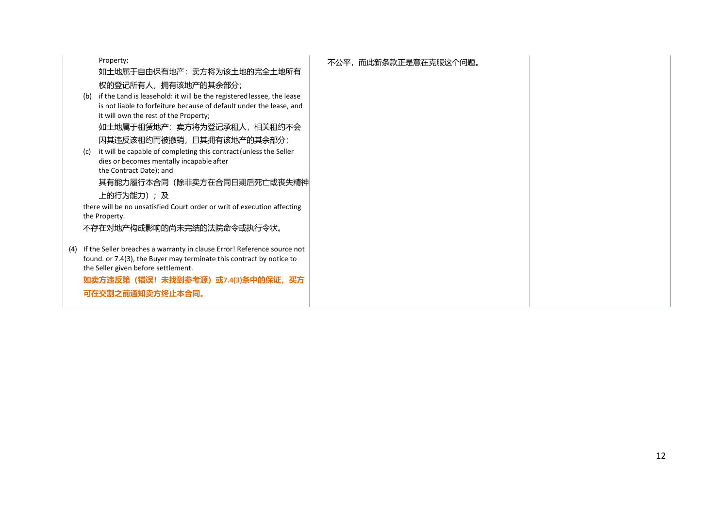Property;

如土地属于自由保有地产:卖方将为该土地的完全土地所有 权的登记所有人,拥有该地产的其余部分;

(b) if the Land is leasehold: it will be the registeredlessee, the lease is not liable to forfeiture because of default under the lease, and it will own the rest of the Property; 如土地属于租赁地产:卖方将为登记承租人,相关租约不会

因其违反该租约而被撤销,且其拥有该地产的其余部分;

(c) it will be capable of completing this contract(unless the Seller dies or becomes mentally incapable after the Contract Date); and

其有能力履行本合同(除非卖方在合同日期后死亡或丧失精神 上的行为能力);及

there will be no unsatisfied Court order or writ of execution affecting the Property.

不存在对地产构成影响的尚未完结的法院命令或执行令状。

(4) If the Seller breaches a warranty in clause Error! Reference source not found. or 7.4(3), the Buyer may terminate this contract by notice to the Seller given before settlement.

**如卖方违反第(错误!未找到参考源)或7.4(3)条中的保证,买方 可在交割之前通知卖方终止本合同。**

## 不公平,而此新条款正是意在克服这个问题。

12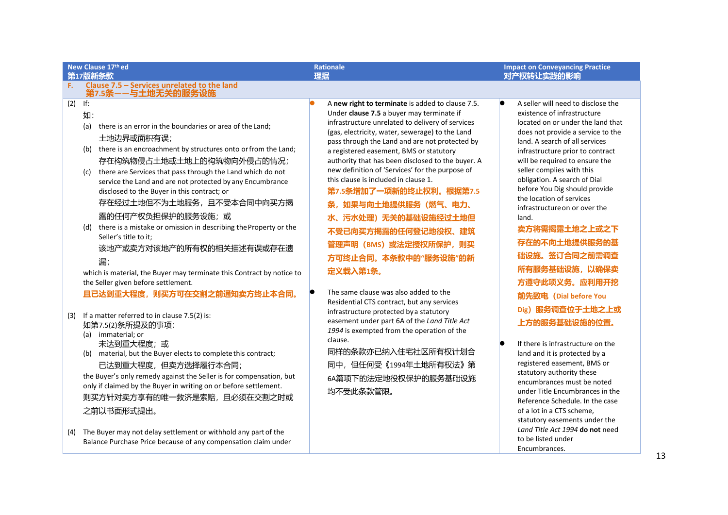| New Clause 17th ed<br>第17版新条款                                                                                                                                                                                                                                                                                                                                                                                                                                                                                                                                                                                                                                                                                                                                                                                                                                                                                                                                                                                                                                                                                                | <b>Rationale</b><br>理据                                                                                                                                                                                                                                                                                                                                                                                                                                                                                                                                                                                                                                                                                                                                                                                                                                                                                                                               | <b>Impact on Conveyancing Practice</b><br>对产权转让实践的影响                                                                                                                                                                                                                                                                                                                                                                                                                                                                                                                                                                                                                                                                                                                                                                                                                                  |
|------------------------------------------------------------------------------------------------------------------------------------------------------------------------------------------------------------------------------------------------------------------------------------------------------------------------------------------------------------------------------------------------------------------------------------------------------------------------------------------------------------------------------------------------------------------------------------------------------------------------------------------------------------------------------------------------------------------------------------------------------------------------------------------------------------------------------------------------------------------------------------------------------------------------------------------------------------------------------------------------------------------------------------------------------------------------------------------------------------------------------|------------------------------------------------------------------------------------------------------------------------------------------------------------------------------------------------------------------------------------------------------------------------------------------------------------------------------------------------------------------------------------------------------------------------------------------------------------------------------------------------------------------------------------------------------------------------------------------------------------------------------------------------------------------------------------------------------------------------------------------------------------------------------------------------------------------------------------------------------------------------------------------------------------------------------------------------------|---------------------------------------------------------------------------------------------------------------------------------------------------------------------------------------------------------------------------------------------------------------------------------------------------------------------------------------------------------------------------------------------------------------------------------------------------------------------------------------------------------------------------------------------------------------------------------------------------------------------------------------------------------------------------------------------------------------------------------------------------------------------------------------------------------------------------------------------------------------------------------------|
| Clause 7.5 - Services unrelated to the land<br>F.<br>第7.5条--与土地无关的服务设施                                                                                                                                                                                                                                                                                                                                                                                                                                                                                                                                                                                                                                                                                                                                                                                                                                                                                                                                                                                                                                                       |                                                                                                                                                                                                                                                                                                                                                                                                                                                                                                                                                                                                                                                                                                                                                                                                                                                                                                                                                      |                                                                                                                                                                                                                                                                                                                                                                                                                                                                                                                                                                                                                                                                                                                                                                                                                                                                                       |
| (2)<br>If:<br>如:<br>there is an error in the boundaries or area of the Land;<br>(a)<br>土地边界或面积有误;<br>there is an encroachment by structures onto or from the Land;<br>(b)<br>存在构筑物侵占土地或土地上的构筑物向外侵占的情况;<br>there are Services that pass through the Land which do not<br>(c)<br>service the Land and are not protected by any Encumbrance<br>disclosed to the Buyer in this contract; or<br>存在经过土地但不为土地服务, 且不受本合同中向买方揭<br>露的任何产权负担保护的服务设施;或<br>(d) there is a mistake or omission in describing the Property or the<br>Seller's title to it;<br>该地产或卖方对该地产的所有权的相关描述有误或存在遗<br>漏;<br>which is material, the Buyer may terminate this Contract by notice to<br>the Seller given before settlement.<br>且已达到重大程度,则买方可在交割之前通知卖方终止本合同。<br>If a matter referred to in clause 7.5(2) is:<br>(3)<br>如第7.5(2)条所提及的事项:<br>(a) immaterial; or<br>未达到重大程度;或<br>(b) material, but the Buyer elects to complete this contract;<br>已达到重大程度,但卖方选择履行本合同;<br>the Buyer's only remedy against the Seller is for compensation, but<br>only if claimed by the Buyer in writing on or before settlement.<br>则买方针对卖方享有的唯一救济是索赔,且必须在交割之时或<br>之前以书面形式提出。 | A new right to terminate is added to clause 7.5.<br>Under clause 7.5 a buyer may terminate if<br>infrastructure unrelated to delivery of services<br>(gas, electricity, water, sewerage) to the Land<br>pass through the Land and are not protected by<br>a registered easement, BMS or statutory<br>authority that has been disclosed to the buyer. A<br>new definition of 'Services' for the purpose of<br>this clause is included in clause 1.<br>第7.5条增加了一项新的终止权利。根据第7.5<br>如果与向土地提供服务(燃气、电力、<br>条.<br>水、污水处理)无关的基础设施经过土地但<br>不受已向买方揭露的任何登记地役权、建筑<br>管理声明 (BMS) 或法定授权所保护, 则买<br>方可终止合同。本条款中的"服务设施"的新<br>定义载入第1条。<br>The same clause was also added to the<br>Residential CTS contract, but any services<br>infrastructure protected by a statutory<br>easement under part 6A of the Land Title Act<br>1994 is exempted from the operation of the<br>clause.<br>同样的条款亦已纳入住宅社区所有权计划合<br>同中,但任何受《1994年土地所有权法》第<br>6A篇项下的法定地役权保护的服务基础设施<br>均不受此条款管限。 | A seller will need to disclose the<br>lo<br>existence of infrastructure<br>located on or under the land that<br>does not provide a service to the<br>land. A search of all services<br>infrastructure prior to contract<br>will be required to ensure the<br>seller complies with this<br>obligation. A search of Dial<br>before You Dig should provide<br>the location of services<br>infrastructure on or over the<br>land.<br>卖方将需揭露土地之上或之下<br>存在的不向土地提供服务的基<br>础设施。签订合同之前需调查<br>所有服务基础设施, 以确保卖<br>方遵守此项义务。应利用开挖<br>前先致电 (Dial before You<br>Dig) 服务调查位于土地之上或<br>上方的服务基础设施的位置。<br>If there is infrastructure on the<br>land and it is protected by a<br>registered easement, BMS or<br>statutory authority these<br>encumbrances must be noted<br>under Title Encumbrances in the<br>Reference Schedule. In the case<br>of a lot in a CTS scheme,<br>statutory easements under the |
| The Buyer may not delay settlement or withhold any part of the<br>(4)<br>Balance Purchase Price because of any compensation claim under                                                                                                                                                                                                                                                                                                                                                                                                                                                                                                                                                                                                                                                                                                                                                                                                                                                                                                                                                                                      |                                                                                                                                                                                                                                                                                                                                                                                                                                                                                                                                                                                                                                                                                                                                                                                                                                                                                                                                                      | Land Title Act 1994 do not need<br>to be listed under<br>Encumbrances.                                                                                                                                                                                                                                                                                                                                                                                                                                                                                                                                                                                                                                                                                                                                                                                                                |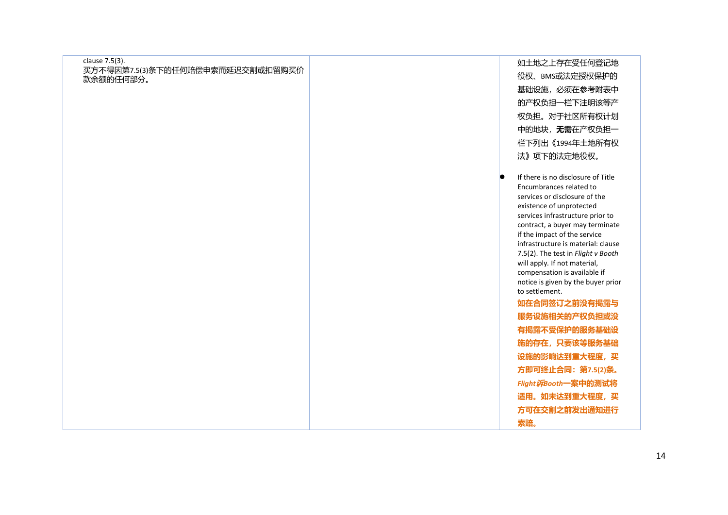| clause 7.5(3).<br>如土地之上存在受任何登记地<br>买方不得因第7.5(3)条下的任何赔偿申索而延迟交割或扣留购买价<br>役权、BMS或法定授权保护的<br>款余额的任何部分。<br>基础设施, 必须在参考附表中<br>的产权负担一栏下注明该等产<br>权负担。对于社区所有权计划<br>中的地块,无需在产权负担一<br>栏下列出《1994年土地所有权<br>法》项下的法定地役权。<br>If there is no disclosure of Title<br>lo<br>Encumbrances related to<br>services or disclosure of the<br>existence of unprotected<br>services infrastructure prior to<br>contract, a buyer may terminate<br>if the impact of the service<br>infrastructure is material: clause<br>7.5(2). The test in Flight v Booth<br>will apply. If not material,<br>compensation is available if<br>notice is given by the buyer prior<br>to settlement.<br>如在合同签订之前没有揭露与<br>服务设施相关的产权负担或没<br>有揭露不受保护的服务基础设<br>施的存在,只要该等服务基础<br>设施的影响达到重大程度, 买<br>方即可终止合同: 第7.5(2)条。<br>Flight 诉Booth一案中的测试将<br>适用。如未达到重大程度, 买<br>方可在交割之前发出通知进行<br>索赔。 |  |  |
|----------------------------------------------------------------------------------------------------------------------------------------------------------------------------------------------------------------------------------------------------------------------------------------------------------------------------------------------------------------------------------------------------------------------------------------------------------------------------------------------------------------------------------------------------------------------------------------------------------------------------------------------------------------------------------------------------------------------------------------------------------------------------------------------------------------------------------------|--|--|
|                                                                                                                                                                                                                                                                                                                                                                                                                                                                                                                                                                                                                                                                                                                                                                                                                                        |  |  |
|                                                                                                                                                                                                                                                                                                                                                                                                                                                                                                                                                                                                                                                                                                                                                                                                                                        |  |  |
|                                                                                                                                                                                                                                                                                                                                                                                                                                                                                                                                                                                                                                                                                                                                                                                                                                        |  |  |
|                                                                                                                                                                                                                                                                                                                                                                                                                                                                                                                                                                                                                                                                                                                                                                                                                                        |  |  |
|                                                                                                                                                                                                                                                                                                                                                                                                                                                                                                                                                                                                                                                                                                                                                                                                                                        |  |  |
|                                                                                                                                                                                                                                                                                                                                                                                                                                                                                                                                                                                                                                                                                                                                                                                                                                        |  |  |
|                                                                                                                                                                                                                                                                                                                                                                                                                                                                                                                                                                                                                                                                                                                                                                                                                                        |  |  |
|                                                                                                                                                                                                                                                                                                                                                                                                                                                                                                                                                                                                                                                                                                                                                                                                                                        |  |  |
|                                                                                                                                                                                                                                                                                                                                                                                                                                                                                                                                                                                                                                                                                                                                                                                                                                        |  |  |
|                                                                                                                                                                                                                                                                                                                                                                                                                                                                                                                                                                                                                                                                                                                                                                                                                                        |  |  |
|                                                                                                                                                                                                                                                                                                                                                                                                                                                                                                                                                                                                                                                                                                                                                                                                                                        |  |  |
|                                                                                                                                                                                                                                                                                                                                                                                                                                                                                                                                                                                                                                                                                                                                                                                                                                        |  |  |
|                                                                                                                                                                                                                                                                                                                                                                                                                                                                                                                                                                                                                                                                                                                                                                                                                                        |  |  |
|                                                                                                                                                                                                                                                                                                                                                                                                                                                                                                                                                                                                                                                                                                                                                                                                                                        |  |  |
|                                                                                                                                                                                                                                                                                                                                                                                                                                                                                                                                                                                                                                                                                                                                                                                                                                        |  |  |
|                                                                                                                                                                                                                                                                                                                                                                                                                                                                                                                                                                                                                                                                                                                                                                                                                                        |  |  |
|                                                                                                                                                                                                                                                                                                                                                                                                                                                                                                                                                                                                                                                                                                                                                                                                                                        |  |  |
|                                                                                                                                                                                                                                                                                                                                                                                                                                                                                                                                                                                                                                                                                                                                                                                                                                        |  |  |
|                                                                                                                                                                                                                                                                                                                                                                                                                                                                                                                                                                                                                                                                                                                                                                                                                                        |  |  |
|                                                                                                                                                                                                                                                                                                                                                                                                                                                                                                                                                                                                                                                                                                                                                                                                                                        |  |  |
|                                                                                                                                                                                                                                                                                                                                                                                                                                                                                                                                                                                                                                                                                                                                                                                                                                        |  |  |
|                                                                                                                                                                                                                                                                                                                                                                                                                                                                                                                                                                                                                                                                                                                                                                                                                                        |  |  |
|                                                                                                                                                                                                                                                                                                                                                                                                                                                                                                                                                                                                                                                                                                                                                                                                                                        |  |  |
|                                                                                                                                                                                                                                                                                                                                                                                                                                                                                                                                                                                                                                                                                                                                                                                                                                        |  |  |
|                                                                                                                                                                                                                                                                                                                                                                                                                                                                                                                                                                                                                                                                                                                                                                                                                                        |  |  |
|                                                                                                                                                                                                                                                                                                                                                                                                                                                                                                                                                                                                                                                                                                                                                                                                                                        |  |  |
|                                                                                                                                                                                                                                                                                                                                                                                                                                                                                                                                                                                                                                                                                                                                                                                                                                        |  |  |
|                                                                                                                                                                                                                                                                                                                                                                                                                                                                                                                                                                                                                                                                                                                                                                                                                                        |  |  |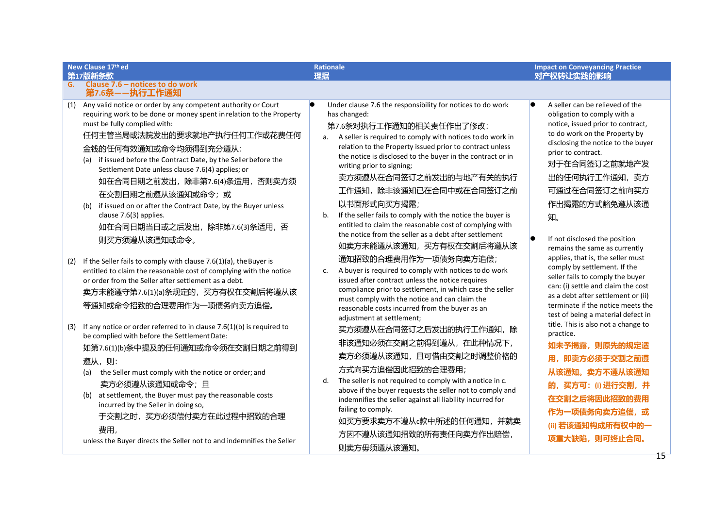|     | New Clause 17th ed                                                                                                                                                                                                                                                                                                                                                                                                                                                                                                                                                 | <b>Rationale</b>                                                                                                                                                                                                                                                                                                                                                                                                                                                                                                                                                                                                                  | <b>Impact on Conveyancing Practice</b>                                                                                                                                                                                                                                                                       |
|-----|--------------------------------------------------------------------------------------------------------------------------------------------------------------------------------------------------------------------------------------------------------------------------------------------------------------------------------------------------------------------------------------------------------------------------------------------------------------------------------------------------------------------------------------------------------------------|-----------------------------------------------------------------------------------------------------------------------------------------------------------------------------------------------------------------------------------------------------------------------------------------------------------------------------------------------------------------------------------------------------------------------------------------------------------------------------------------------------------------------------------------------------------------------------------------------------------------------------------|--------------------------------------------------------------------------------------------------------------------------------------------------------------------------------------------------------------------------------------------------------------------------------------------------------------|
| G.  | 第17版新条款<br>Clause 7.6 - notices to do work                                                                                                                                                                                                                                                                                                                                                                                                                                                                                                                         | 理据                                                                                                                                                                                                                                                                                                                                                                                                                                                                                                                                                                                                                                | 对产权转让实践的影响                                                                                                                                                                                                                                                                                                   |
|     | 第7.6条--执行工作通知                                                                                                                                                                                                                                                                                                                                                                                                                                                                                                                                                      |                                                                                                                                                                                                                                                                                                                                                                                                                                                                                                                                                                                                                                   |                                                                                                                                                                                                                                                                                                              |
|     | (1) Any valid notice or order by any competent authority or Court<br>requiring work to be done or money spent in relation to the Property<br>must be fully complied with:<br>任何主管当局或法院发出的要求就地产执行任何工作或花费任何<br>金钱的任何有效通知或命令均须得到充分遵从:<br>(a) if issued before the Contract Date, by the Seller before the<br>Settlement Date unless clause 7.6(4) applies; or<br>如在合同日期之前发出,除非第7.6(4)条适用,否则卖方须<br>在交割日期之前遵从该通知或命令;或<br>if issued on or after the Contract Date, by the Buyer unless<br>(b)<br>clause 7.6(3) applies.<br>如在合同日期当日或之后发出,除非第7.6(3)条适用,否<br>则买方须遵从该通知或命令。 | Under clause 7.6 the responsibility for notices to do work<br>has changed:<br>第7.6条对执行工作通知的相关责任作出了修改:<br>a. A seller is required to comply with notices to do work in<br>relation to the Property issued prior to contract unless<br>the notice is disclosed to the buyer in the contract or in<br>writing prior to signing;<br>卖方须遵从在合同签订之前发出的与地产有关的执行<br>工作通知,除非该通知已在合同中或在合同签订之前<br>以书面形式向买方揭露;<br>If the seller fails to comply with the notice the buyer is<br>b <sub>1</sub><br>entitled to claim the reasonable cost of complying with<br>the notice from the seller as a debt after settlement<br>如卖方未能遵从该通知, 买方有权在交割后将遵从该 | A seller can be relieved of the<br>obligation to comply with a<br>notice, issued prior to contract,<br>to do work on the Property by<br>disclosing the notice to the buyer<br>prior to contract.<br>对于在合同签订之前就地产发<br>出的任何执行工作通知, 卖方<br>可通过在合同签订之前向买方<br>作出揭露的方式豁免遵从该通<br>知。<br>If not disclosed the position |
| (2) | If the Seller fails to comply with clause 7.6(1)(a), the Buyer is<br>entitled to claim the reasonable cost of complying with the notice<br>or order from the Seller after settlement as a debt.<br>卖方未能遵守第7.6(1)(a)条规定的,买方有权在交割后将遵从该<br>等通知或命令招致的合理费用作为一项债务向卖方追偿。                                                                                                                                                                                                                                                                                                  | 通知招致的合理费用作为一项债务向卖方追偿;<br>A buyer is required to comply with notices to do work<br>c.<br>issued after contract unless the notice requires<br>compliance prior to settlement, in which case the seller<br>must comply with the notice and can claim the<br>reasonable costs incurred from the buyer as an<br>adjustment at settlement;                                                                                                                                                                                                                                                                                              | remains the same as currently<br>applies, that is, the seller must<br>comply by settlement. If the<br>seller fails to comply the buyer<br>can: (i) settle and claim the cost<br>as a debt after settlement or (ii)<br>terminate if the notice meets the<br>test of being a material defect in                |
| (3) | If any notice or order referred to in clause $7.6(1)(b)$ is required to<br>be complied with before the Settlement Date:<br>如第7.6(1)(b)条中提及的任何通知或命令须在交割日期之前得到<br>遵从,则:<br>the Seller must comply with the notice or order; and<br>(a)<br>卖方必须遵从该通知或命令;且<br>at settlement, the Buyer must pay the reasonable costs<br>(b)<br>incurred by the Seller in doing so,<br>于交割之时,买方必须偿付卖方在此过程中招致的合理<br>费用,<br>unless the Buyer directs the Seller not to and indemnifies the Seller                                                                                         | 买方须遵从在合同签订之后发出的执行工作通知,除<br>非该通知必须在交割之前得到遵从,在此种情况下,<br>卖方必须遵从该通知,且可借由交割之时调整价格的<br>方式向买方追偿因此招致的合理费用;<br>The seller is not required to comply with anotice in c.<br>d.<br>above if the buyer requests the seller not to comply and<br>indemnifies the seller against all liability incurred for<br>failing to comply.<br>如买方要求卖方不遵从c款中所述的任何通知, 并就卖<br>方因不遵从该通知招致的所有责任向卖方作出赔偿,<br>则卖方毋须遵从该通知。                                                                                                                                                                                                                                         | title. This is also not a change to<br>practice.<br>如未予揭露, 则原先的规定适<br>用, 即卖方必须于交割之前遵<br>从该通知。卖方不遵从该通知<br>的, 买方可: (i) 进行交割, 并<br>在交割之后将因此招致的费用<br>作为一项债务向卖方追偿, 或<br>(ii) 若该通知构成所有权中的一<br>项重大缺陷, 则可终止合同。                                                                                                       |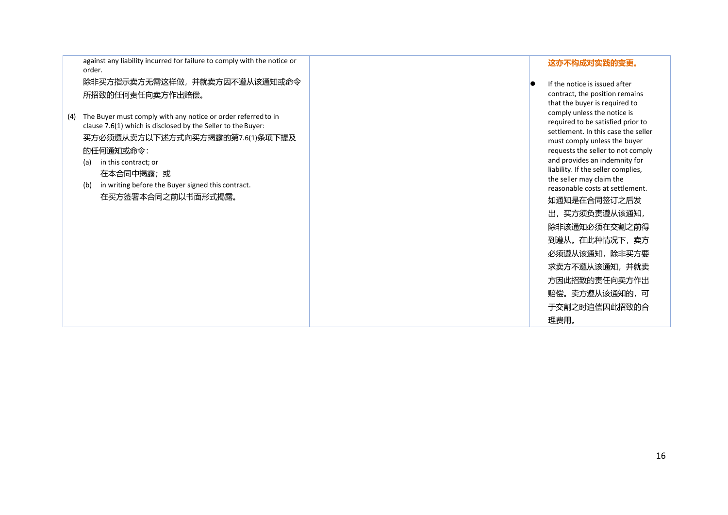against any liability incurred for failure to comply with the notice or order.

除非买方指示卖方无需这样做,并就卖方因不遵从该通知或命令 所招致的任何责任向卖方作出赔偿。

- (4) The Buyer must comply with any notice or order referredto in clause 7.6(1) which is disclosed by the Seller to the Buyer: 买方必须遵从卖方以下述方式向买方揭露的第7.6(1)条项下提及 的任何通知或命令:
	- (a) in this contract; or 在本合同中揭露;或
	- (b) in writing before the Buyer signed this contract. 在买方签署本合同之前以书面形式揭露。

### **这亦不构成对实践的变更。**

 If the notice is issued after contract, the position remains that the buyer is required to comply unless the notice is required to be satisfied prior to settlement. In this case the seller must comply unless the buyer requests the seller to not comply and provides an indemnity for liability. If the seller complies, the seller may claim the reasonable costs at settlement. 如通知是在合同签订之后发 出,买方须负责遵从该通知, 除非该通知必须在交割之前得 到遵从。在此种情况下,卖方 必须遵从该通知,除非买方要 求卖方不遵从该通知,并就卖 方因此招致的责任向卖方作出 赔偿。卖方遵从该通知的,可 于交割之时追偿因此招致的合 理费用。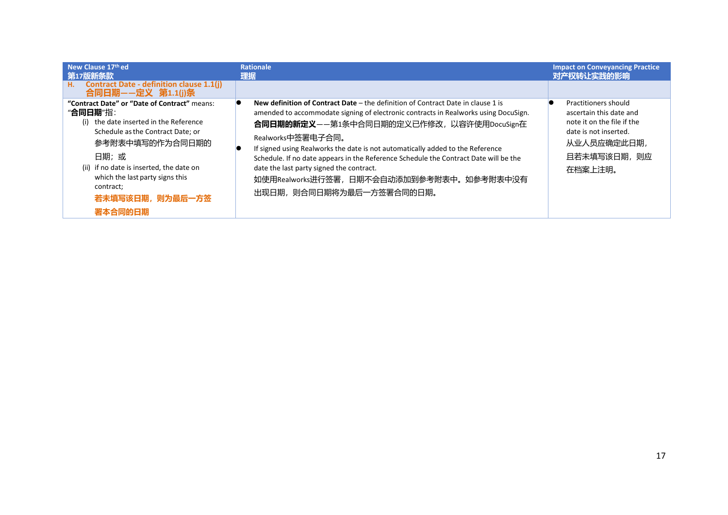| New Clause 17th ed<br>第17版新条款                                                                                                                                                                                                                                                                    | <b>Rationale</b><br>理据                                                                                                                                                                                                                                                                                                                                                                                                                                                                                                                    | <b>Impact on Conveyancing Practice</b><br>对产权转让实践的影响                                                                                                    |
|--------------------------------------------------------------------------------------------------------------------------------------------------------------------------------------------------------------------------------------------------------------------------------------------------|-------------------------------------------------------------------------------------------------------------------------------------------------------------------------------------------------------------------------------------------------------------------------------------------------------------------------------------------------------------------------------------------------------------------------------------------------------------------------------------------------------------------------------------------|---------------------------------------------------------------------------------------------------------------------------------------------------------|
| <b>Contract Date - definition clause 1.1(j)</b><br>H.<br>合同日期--定义 第1.1(j)条                                                                                                                                                                                                                       |                                                                                                                                                                                                                                                                                                                                                                                                                                                                                                                                           |                                                                                                                                                         |
| "Contract Date" or "Date of Contract" means:<br>"合同日期"指:<br>the date inserted in the Reference<br>(i)<br>Schedule as the Contract Date; or<br>参考附表中填写的作为合同日期的<br>日期;或<br>(ii) if no date is inserted, the date on<br>which the last party signs this<br>contract;<br>若未填写该日期, 则为最后一方签<br>署本合同的日期 | New definition of Contract Date $-$ the definition of Contract Date in clause 1 is<br>amended to accommodate signing of electronic contracts in Realworks using DocuSign.<br>合同日期的新定义——第1条中合同日期的定义已作修改,以容许使用DocuSign在<br>Realworks中签署电子合同。<br>If signed using Realworks the date is not automatically added to the Reference<br>Schedule. If no date appears in the Reference Schedule the Contract Date will be the<br>date the last party signed the contract.<br>如使用Realworks进行签署, 日期不会自动添加到参考附表中。如参考附表中没有<br>出现日期,则合同日期将为最后一方签署合同的日期。 | <b>Practitioners should</b><br>ascertain this date and<br>note it on the file if the<br>date is not inserted.<br>从业人员应确定此日期,<br>且若未填写该日期, 则应<br>在档案上注明。 |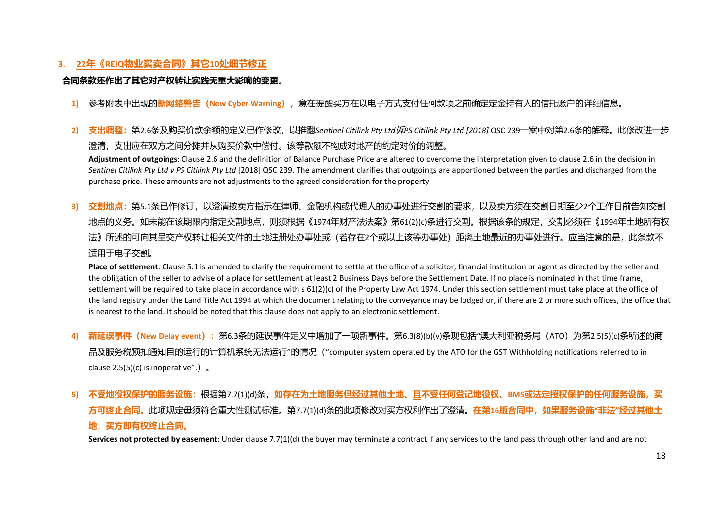# **3. 22年《REIQ物业买卖合同》其它10处细节修正**

## **合同条款还作出了其它对产权转让实践无重大影响的变更。**

**1)** 参考附表中出现的**新网络警告(New Cyber Warning)**,意在提醒买方在以电子方式支付任何款项之前确定定金持有人的信托账户的详细信息。

2) 支出调整:第2.6条及购买价款余额的定义已作修改, 以推翻Sentinel Citilink Pty Ltd*诉*PS Citilink Pty Ltd [2018] QSC 239一案中对第2.6条的解释。此修改进一步 澄清,支出应在双方之间分摊并从购买价款中偿付。该等款额不构成对地产的约定对价的调整。

**Adjustment of outgoings**: Clause 2.6 and the definition of Balance Purchase Price are altered to overcome the interpretation given to clause 2.6 in the decision in *Sentinel Citilink Pty Ltd v PS Citilink Pty Ltd* [2018] QSC 239. The amendment clarifies that outgoings are apportioned between the parties and discharged from the purchase price. These amounts are not adjustments to the agreed consideration for the property.

**3) 交割地点:**第5.1条已作修订,以澄清按卖方指示在律师、金融机构或代理人的办事处进行交割的要求,以及卖方须在交割日期至少2个工作日前告知交割 地点的义务。如未能在该期限内指定交割地点,则须根据《1974年财产法法案》第61(2)(c)条进行交割。根据该条的规定,交割必须在《1994年土地所有权 法》所述的可向其呈交产权转让相关文件的土地注册处办事处或(若存在2个或以上该等办事处)距离土地最近的办事处进行。应当注意的是,此条款不 适用于电子交割。

Place of settlement: Clause 5.1 is amended to clarify the requirement to settle at the office of a solicitor, financial institution or agent as directed by the seller and the obligation of the seller to advise of a place for settlement at least 2 Business Days before the Settlement Date. If no place is nominated in that time frame, settlement will be required to take place in accordance with s 61(2)(c) of the Property Law Act 1974. Under this section settlement must take place at the office of the land registry under the Land Title Act 1994 at which the document relating to the conveyance may be lodged or, if there are 2 or more such offices, the office that is nearest to the land. It should be noted that this clause does not apply to an electronic settlement.

- **4) 新延误事件(New Delay event):**第6.3条的延误事件定义中增加了一项新事件。第6.3(8)(b)(v)条现包括"澳大利亚税务局(ATO)为第2.5(5)(c)条所述的商 品及服务税预扣通知目的运行的计算机系统无法运行"的情况("computer system operated by the ATO for the GST Withholding notifications referred to in clause  $2.5(5)(c)$  is inoperative".).
- 5) 不受地役权保护的服务设施:根据第7.7(1)(d)条, 如存在为土地服务但经过其他土地、且不受任何登记地役权、BMS或法定授权保护的任何服务设施, 买 **方可终止合同。**此项规定毋须符合重大性测试标准。第7.7(1)(d)条的此项修改对买方权利作出了澄清。**在第16版合同中,如果服务设施"非法"经过其他土 地,买方即有权终止合同。**

**Services not protected by easement**: Under clause 7.7(1)(d) the buyer may terminate a contract if any services to the land pass through other land and are not